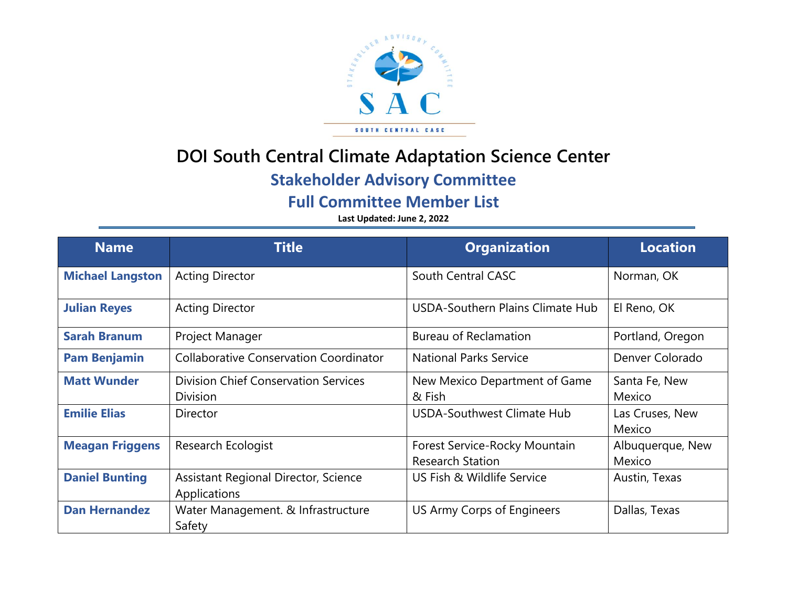

## **DOI South Central Climate Adaptation Science Center**

## **Stakeholder Advisory Committee**

**Full Committee Member List**

**Last Updated: June 2, 2022**

| <b>Name</b>             | <b>Title</b>                                  | <b>Organization</b>              | <b>Location</b>  |
|-------------------------|-----------------------------------------------|----------------------------------|------------------|
| <b>Michael Langston</b> | <b>Acting Director</b>                        | South Central CASC               | Norman, OK       |
| <b>Julian Reyes</b>     | <b>Acting Director</b>                        | USDA-Southern Plains Climate Hub | El Reno, OK      |
| <b>Sarah Branum</b>     | Project Manager                               | <b>Bureau of Reclamation</b>     | Portland, Oregon |
| <b>Pam Benjamin</b>     | <b>Collaborative Conservation Coordinator</b> | <b>National Parks Service</b>    | Denver Colorado  |
| <b>Matt Wunder</b>      | <b>Division Chief Conservation Services</b>   | New Mexico Department of Game    | Santa Fe, New    |
|                         | <b>Division</b>                               | & Fish                           | Mexico           |
| <b>Emilie Elias</b>     | <b>Director</b>                               | USDA-Southwest Climate Hub       | Las Cruses, New  |
|                         |                                               |                                  | Mexico           |
| <b>Meagan Friggens</b>  | <b>Research Ecologist</b>                     | Forest Service-Rocky Mountain    | Albuquerque, New |
|                         |                                               | <b>Research Station</b>          | Mexico           |
| <b>Daniel Bunting</b>   | <b>Assistant Regional Director, Science</b>   | US Fish & Wildlife Service       | Austin, Texas    |
|                         | Applications                                  |                                  |                  |
| <b>Dan Hernandez</b>    | Water Management. & Infrastructure            | US Army Corps of Engineers       | Dallas, Texas    |
|                         | Safety                                        |                                  |                  |